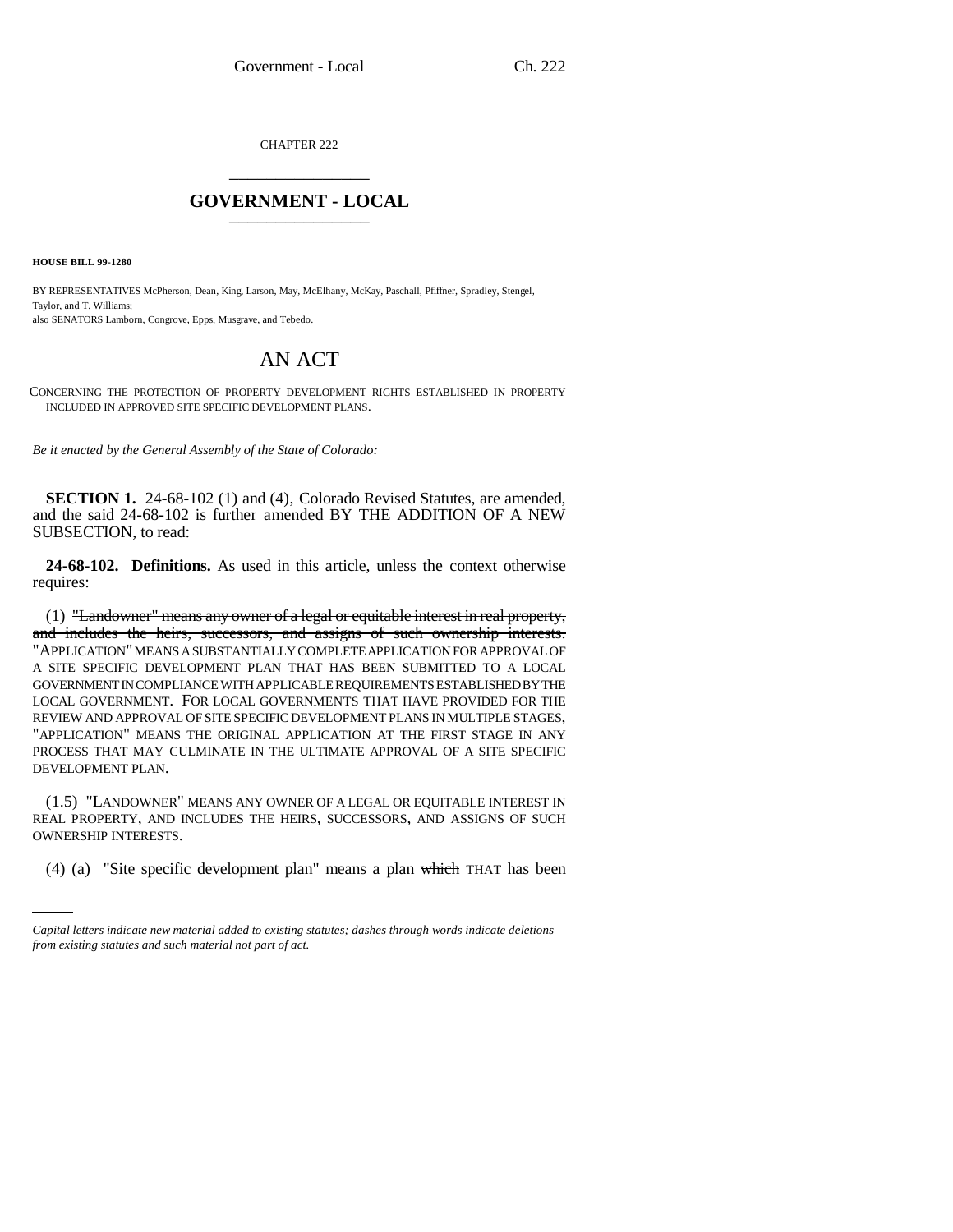CHAPTER 222 \_\_\_\_\_\_\_\_\_\_\_\_\_\_\_

## **GOVERNMENT - LOCAL** \_\_\_\_\_\_\_\_\_\_\_\_\_\_\_

**HOUSE BILL 99-1280** 

BY REPRESENTATIVES McPherson, Dean, King, Larson, May, McElhany, McKay, Paschall, Pfiffner, Spradley, Stengel, Taylor, and T. Williams; also SENATORS Lamborn, Congrove, Epps, Musgrave, and Tebedo.

## AN ACT

CONCERNING THE PROTECTION OF PROPERTY DEVELOPMENT RIGHTS ESTABLISHED IN PROPERTY INCLUDED IN APPROVED SITE SPECIFIC DEVELOPMENT PLANS.

*Be it enacted by the General Assembly of the State of Colorado:*

**SECTION 1.** 24-68-102 (1) and (4), Colorado Revised Statutes, are amended, and the said 24-68-102 is further amended BY THE ADDITION OF A NEW SUBSECTION, to read:

**24-68-102. Definitions.** As used in this article, unless the context otherwise requires:

(1) "Landowner" means any owner of a legal or equitable interest in real property, and includes the heirs, successors, and assigns of such ownership interests. "APPLICATION" MEANS A SUBSTANTIALLY COMPLETE APPLICATION FOR APPROVAL OF A SITE SPECIFIC DEVELOPMENT PLAN THAT HAS BEEN SUBMITTED TO A LOCAL GOVERNMENT IN COMPLIANCE WITH APPLICABLE REQUIREMENTS ESTABLISHED BY THE LOCAL GOVERNMENT. FOR LOCAL GOVERNMENTS THAT HAVE PROVIDED FOR THE REVIEW AND APPROVAL OF SITE SPECIFIC DEVELOPMENT PLANS IN MULTIPLE STAGES, "APPLICATION" MEANS THE ORIGINAL APPLICATION AT THE FIRST STAGE IN ANY PROCESS THAT MAY CULMINATE IN THE ULTIMATE APPROVAL OF A SITE SPECIFIC DEVELOPMENT PLAN.

OWNERSHIP INTERESTS. (1.5) "LANDOWNER" MEANS ANY OWNER OF A LEGAL OR EQUITABLE INTEREST IN REAL PROPERTY, AND INCLUDES THE HEIRS, SUCCESSORS, AND ASSIGNS OF SUCH

(4) (a) "Site specific development plan" means a plan which THAT has been

*Capital letters indicate new material added to existing statutes; dashes through words indicate deletions from existing statutes and such material not part of act.*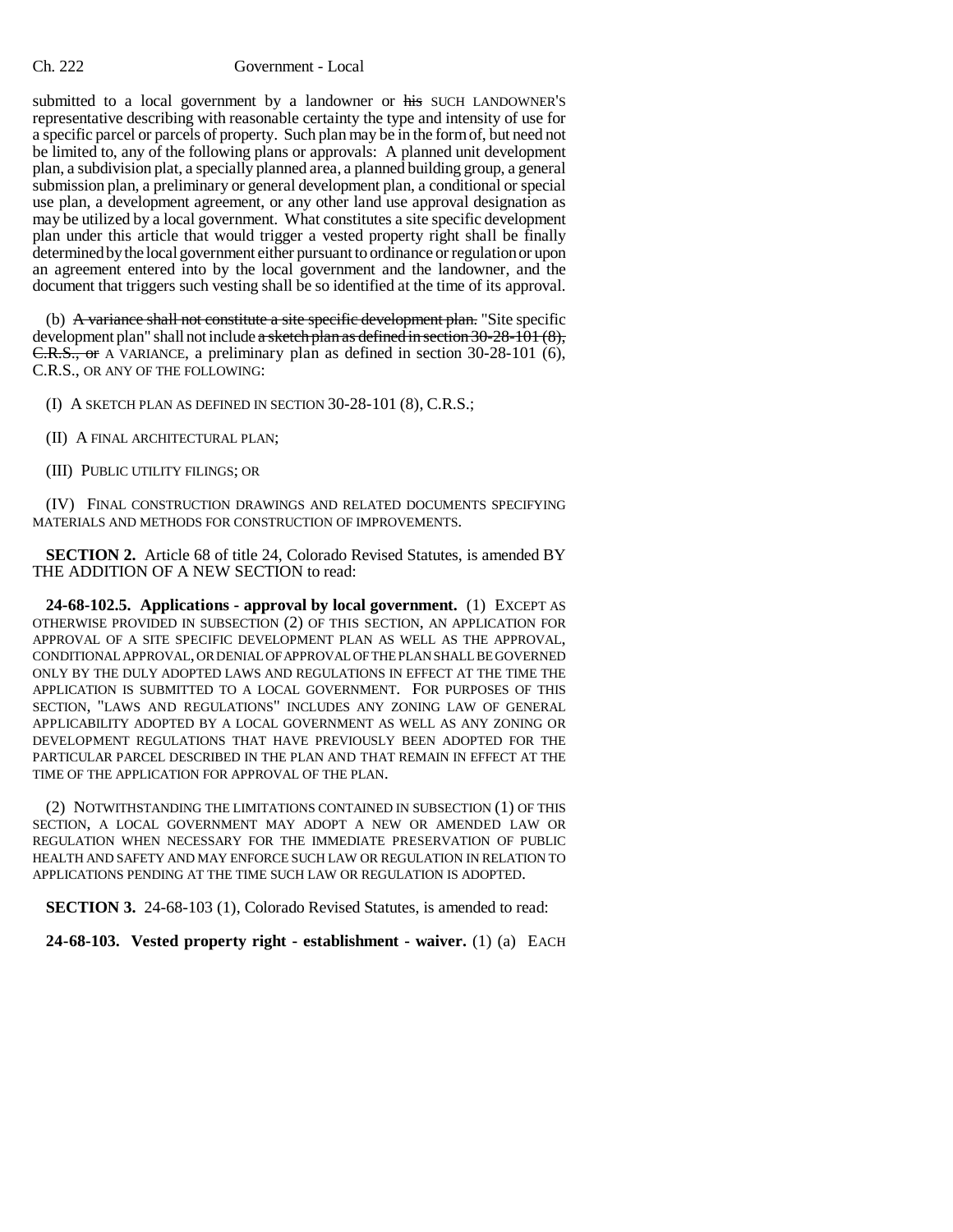## Ch. 222 Government - Local

submitted to a local government by a landowner or his SUCH LANDOWNER'S representative describing with reasonable certainty the type and intensity of use for a specific parcel or parcels of property. Such plan may be in the form of, but need not be limited to, any of the following plans or approvals: A planned unit development plan, a subdivision plat, a specially planned area, a planned building group, a general submission plan, a preliminary or general development plan, a conditional or special use plan, a development agreement, or any other land use approval designation as may be utilized by a local government. What constitutes a site specific development plan under this article that would trigger a vested property right shall be finally determined by the local government either pursuant to ordinance or regulation or upon an agreement entered into by the local government and the landowner, and the document that triggers such vesting shall be so identified at the time of its approval.

(b) A variance shall not constitute a site specific development plan. "Site specific development plan" shall not include a sketch plan as defined in section  $30-28-101(8)$ , C.R.S., or A VARIANCE, a preliminary plan as defined in section 30-28-101 (6), C.R.S., OR ANY OF THE FOLLOWING:

(I) A SKETCH PLAN AS DEFINED IN SECTION 30-28-101 (8), C.R.S.;

- (II) A FINAL ARCHITECTURAL PLAN;
- (III) PUBLIC UTILITY FILINGS; OR

(IV) FINAL CONSTRUCTION DRAWINGS AND RELATED DOCUMENTS SPECIFYING MATERIALS AND METHODS FOR CONSTRUCTION OF IMPROVEMENTS.

**SECTION 2.** Article 68 of title 24, Colorado Revised Statutes, is amended BY THE ADDITION OF A NEW SECTION to read:

**24-68-102.5. Applications - approval by local government.** (1) EXCEPT AS OTHERWISE PROVIDED IN SUBSECTION (2) OF THIS SECTION, AN APPLICATION FOR APPROVAL OF A SITE SPECIFIC DEVELOPMENT PLAN AS WELL AS THE APPROVAL, CONDITIONAL APPROVAL, OR DENIAL OF APPROVAL OF THE PLAN SHALL BE GOVERNED ONLY BY THE DULY ADOPTED LAWS AND REGULATIONS IN EFFECT AT THE TIME THE APPLICATION IS SUBMITTED TO A LOCAL GOVERNMENT. FOR PURPOSES OF THIS SECTION, "LAWS AND REGULATIONS" INCLUDES ANY ZONING LAW OF GENERAL APPLICABILITY ADOPTED BY A LOCAL GOVERNMENT AS WELL AS ANY ZONING OR DEVELOPMENT REGULATIONS THAT HAVE PREVIOUSLY BEEN ADOPTED FOR THE PARTICULAR PARCEL DESCRIBED IN THE PLAN AND THAT REMAIN IN EFFECT AT THE TIME OF THE APPLICATION FOR APPROVAL OF THE PLAN.

(2) NOTWITHSTANDING THE LIMITATIONS CONTAINED IN SUBSECTION (1) OF THIS SECTION, A LOCAL GOVERNMENT MAY ADOPT A NEW OR AMENDED LAW OR REGULATION WHEN NECESSARY FOR THE IMMEDIATE PRESERVATION OF PUBLIC HEALTH AND SAFETY AND MAY ENFORCE SUCH LAW OR REGULATION IN RELATION TO APPLICATIONS PENDING AT THE TIME SUCH LAW OR REGULATION IS ADOPTED.

**SECTION 3.** 24-68-103 (1), Colorado Revised Statutes, is amended to read:

**24-68-103. Vested property right - establishment - waiver.** (1) (a) EACH